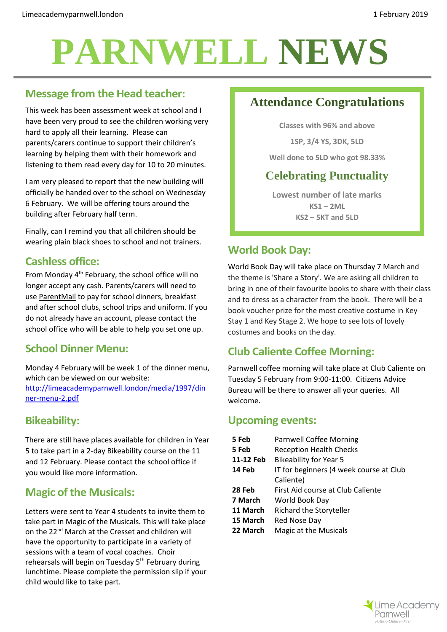# **PARNWELL NEWS**

## **Message from the Head teacher:**

This week has been assessment week at school and I have been very proud to see the children working very hard to apply all their learning. Please can parents/carers continue to support their children's learning by helping them with their homework and listening to them read every day for 10 to 20 minutes.

I am very pleased to report that the new building will officially be handed over to the school on Wednesday 6 February. We will be offering tours around the building after February half term.

Finally, can I remind you that all children should be wearing plain black shoes to school and not trainers.

## **Cashless office:**

From Monday 4th February, the school office will no longer accept any cash. Parents/carers will need to use [ParentMail](https://www.parentmail.co.uk/) to pay for school dinners, breakfast and after school clubs, school trips and uniform. If you do not already have an account, please contact the school office who will be able to help you set one up.

# **School Dinner Menu:**

Monday 4 February will be week 1 of the dinner menu, which can be viewed on our website: [http://limeacademyparnwell.london/media/1997/din](http://limeacademyparnwell.london/media/1997/dinner-menu-2.pdf) [ner-menu-2.pdf](http://limeacademyparnwell.london/media/1997/dinner-menu-2.pdf)

#### **Bikeability:**

There are still have places available for children in Year 5 to take part in a 2-day Bikeability course on the 11 and 12 February. Please contact the school office if you would like more information.

# **Magic of the Musicals:**

Letters were sent to Year 4 students to invite them to take part in Magic of the Musicals. This will take place on the 22nd March at the Cresset and children will have the opportunity to participate in a variety of sessions with a team of vocal coaches. Choir rehearsals will begin on Tuesday 5<sup>th</sup> February during lunchtime. Please complete the permission slip if your child would like to take part.

# **Attendance Congratulations**

**Classes with 96% and above**

**1SP, 3/4 YS, 3DK, 5LD**

**Well done to 5LD who got 98.33%**

# **Celebrating Punctuality**

**Lowest number of late marks KS1 – 2ML KS2 – 5KT and 5LD**

## **World Book Day:**

World Book Day will take place on Thursday 7 March and the theme is 'Share a Story'. We are asking all children to bring in one of their favourite books to share with their class and to dress as a character from the book. There will be a book voucher prize for the most creative costume in Key Stay 1 and Key Stage 2. We hope to see lots of lovely costumes and books on the day.

# **Club Caliente Coffee Morning:**

Parnwell coffee morning will take place at Club Caliente on Tuesday 5 February from 9:00-11:00. Citizens Advice Bureau will be there to answer all your queries. All welcome.

#### **Upcoming events:**

| 5 Feb     | <b>Parnwell Coffee Morning</b>          |  |
|-----------|-----------------------------------------|--|
| 5 Feb     | <b>Reception Health Checks</b>          |  |
| 11-12 Feb | <b>Bikeability for Year 5</b>           |  |
| 14 Feb    | IT for beginners (4 week course at Club |  |
|           | Caliente)                               |  |
| 28 Feb    | First Aid course at Club Caliente       |  |
| 7 March   | World Book Day                          |  |
| 11 March  | Richard the Storyteller                 |  |
| 15 March  | Red Nose Day                            |  |
| 22 March  | <b>Magic at the Musicals</b>            |  |